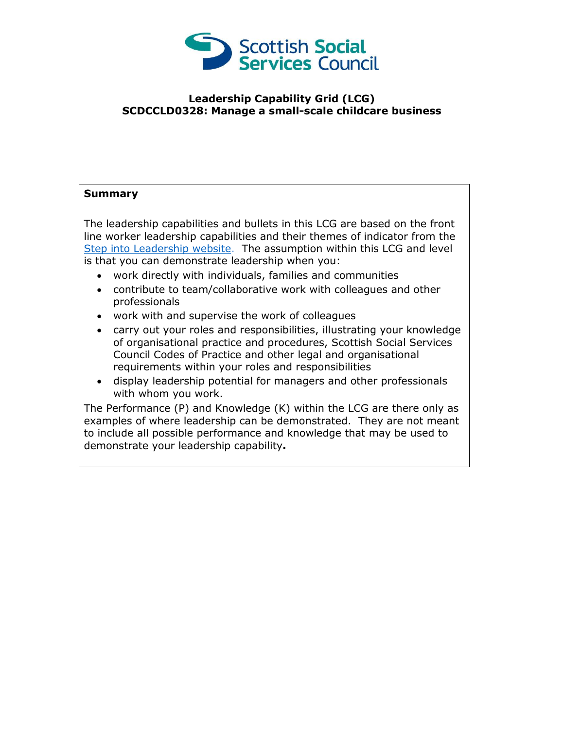

## **Leadership Capability Grid (LCG) SCDCCLD0328: Manage a small-scale childcare business**

## **Summary**

The leadership capabilities and bullets in this LCG are based on the front line worker leadership capabilities and their themes of indicator from the [Step into Leadership website.](http://www.stepintoleadership.info/) The assumption within this LCG and level is that you can demonstrate leadership when you:

- work directly with individuals, families and communities
- contribute to team/collaborative work with colleagues and other professionals
- work with and supervise the work of colleagues
- carry out your roles and responsibilities, illustrating your knowledge of organisational practice and procedures, Scottish Social Services Council Codes of Practice and other legal and organisational requirements within your roles and responsibilities
- display leadership potential for managers and other professionals with whom you work.

The Performance (P) and Knowledge (K) within the LCG are there only as examples of where leadership can be demonstrated. They are not meant to include all possible performance and knowledge that may be used to demonstrate your leadership capability**.**